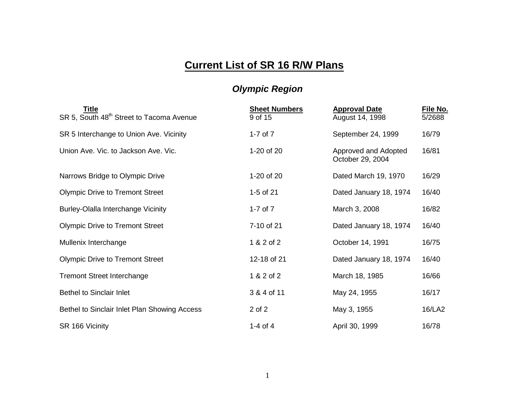## **Current List of SR 16 R/W Plans**

## *Olympic Region*

| <u>Title</u><br>SR 5, South 48 <sup>th</sup> Street to Tacoma Avenue | <b>Sheet Numbers</b><br>9 of 15 | <b>Approval Date</b><br>August 14, 1998  | File No.<br>5/2688 |
|----------------------------------------------------------------------|---------------------------------|------------------------------------------|--------------------|
| SR 5 Interchange to Union Ave. Vicinity                              | 1-7 of $7$                      | September 24, 1999                       | 16/79              |
| Union Ave. Vic. to Jackson Ave. Vic.                                 | 1-20 of 20                      | Approved and Adopted<br>October 29, 2004 | 16/81              |
| Narrows Bridge to Olympic Drive                                      | 1-20 of 20                      | Dated March 19, 1970                     | 16/29              |
| <b>Olympic Drive to Tremont Street</b>                               | 1-5 of 21                       | Dated January 18, 1974                   | 16/40              |
| Burley-Olalla Interchange Vicinity                                   | 1-7 of $7$                      | March 3, 2008                            | 16/82              |
| <b>Olympic Drive to Tremont Street</b>                               | 7-10 of 21                      | Dated January 18, 1974                   | 16/40              |
| Mullenix Interchange                                                 | 1 & 2 of 2                      | October 14, 1991                         | 16/75              |
| <b>Olympic Drive to Tremont Street</b>                               | 12-18 of 21                     | Dated January 18, 1974                   | 16/40              |
| <b>Tremont Street Interchange</b>                                    | 1 & 2 of 2                      | March 18, 1985                           | 16/66              |
| <b>Bethel to Sinclair Inlet</b>                                      | 3 & 4 of 11                     | May 24, 1955                             | 16/17              |
| Bethel to Sinclair Inlet Plan Showing Access                         | 2 of 2                          | May 3, 1955                              | 16/LA2             |
| SR 166 Vicinity                                                      | 1-4 of 4                        | April 30, 1999                           | 16/78              |